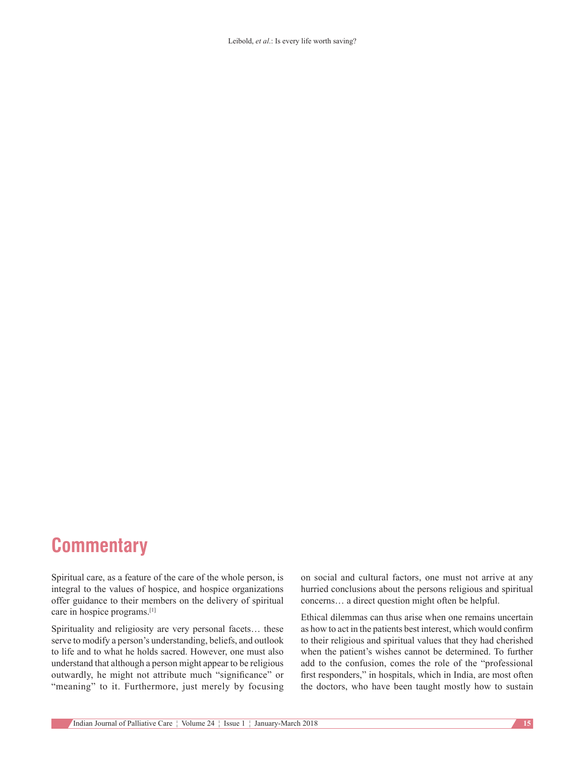Leibold, *et al*.: Is every life worth saving?

## **Commentary**

Spiritual care, as a feature of the care of the whole person, is integral to the values of hospice, and hospice organizations offer guidance to their members on the delivery of spiritual care in hospice programs.[1]

Spirituality and religiosity are very personal facets… these serve to modify a person's understanding, beliefs, and outlook to life and to what he holds sacred. However, one must also understand that although a person might appear to be religious outwardly, he might not attribute much "significance" or "meaning" to it. Furthermore, just merely by focusing on social and cultural factors, one must not arrive at any hurried conclusions about the persons religious and spiritual concerns… a direct question might often be helpful.

Ethical dilemmas can thus arise when one remains uncertain as how to act in the patients best interest, which would confirm to their religious and spiritual values that they had cherished when the patient's wishes cannot be determined. To further add to the confusion, comes the role of the "professional first responders," in hospitals, which in India, are most often the doctors, who have been taught mostly how to sustain